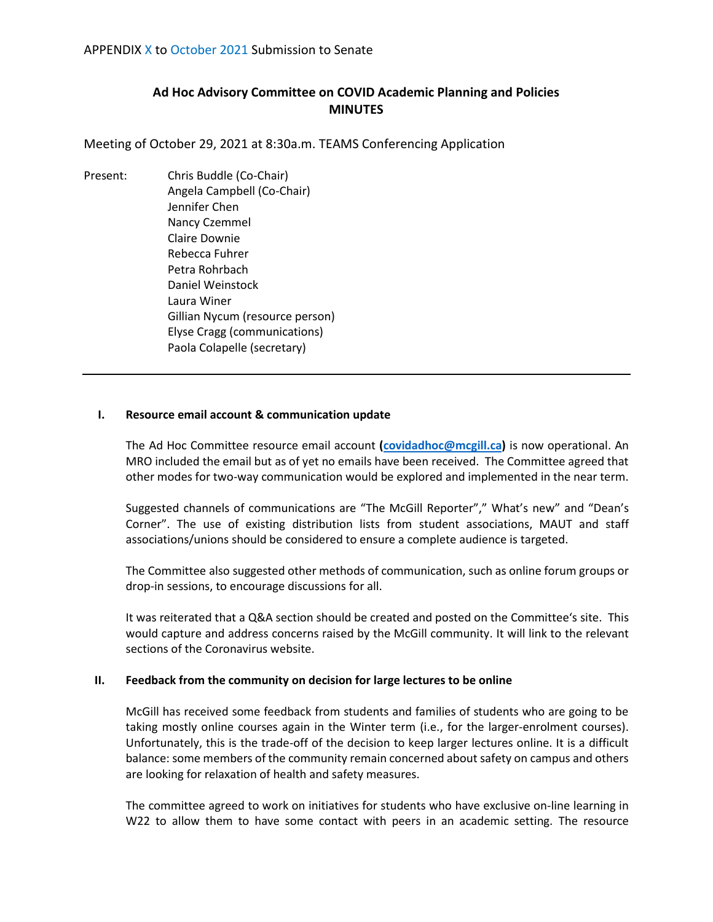# **Ad Hoc Advisory Committee on COVID Academic Planning and Policies MINUTES**

Meeting of October 29, 2021 at 8:30a.m. TEAMS Conferencing Application

Present: Chris Buddle (Co-Chair) Angela Campbell (Co-Chair) Jennifer Chen Nancy Czemmel Claire Downie Rebecca Fuhrer Petra Rohrbach Daniel Weinstock Laura Winer Gillian Nycum (resource person) Elyse Cragg (communications) Paola Colapelle (secretary)

#### **I. Resource email account & communication update**

The Ad Hoc Committee resource email account **[\(covidadhoc@mcgill.ca\)](mailto:covidadhoc@mcgill.ca)** is now operational. An MRO included the email but as of yet no emails have been received. The Committee agreed that other modes for two-way communication would be explored and implemented in the near term.

Suggested channels of communications are "The McGill Reporter"," What's new" and "Dean's Corner". The use of existing distribution lists from student associations, MAUT and staff associations/unions should be considered to ensure a complete audience is targeted.

The Committee also suggested other methods of communication, such as online forum groups or drop-in sessions, to encourage discussions for all.

It was reiterated that a Q&A section should be created and posted on the Committee's site. This would capture and address concerns raised by the McGill community. It will link to the relevant sections of the Coronavirus website.

#### **II. Feedback from the community on decision for large lectures to be online**

McGill has received some feedback from students and families of students who are going to be taking mostly online courses again in the Winter term (i.e., for the larger-enrolment courses). Unfortunately, this is the trade-off of the decision to keep larger lectures online. It is a difficult balance: some members of the community remain concerned about safety on campus and others are looking for relaxation of health and safety measures.

The committee agreed to work on initiatives for students who have exclusive on-line learning in W22 to allow them to have some contact with peers in an academic setting. The resource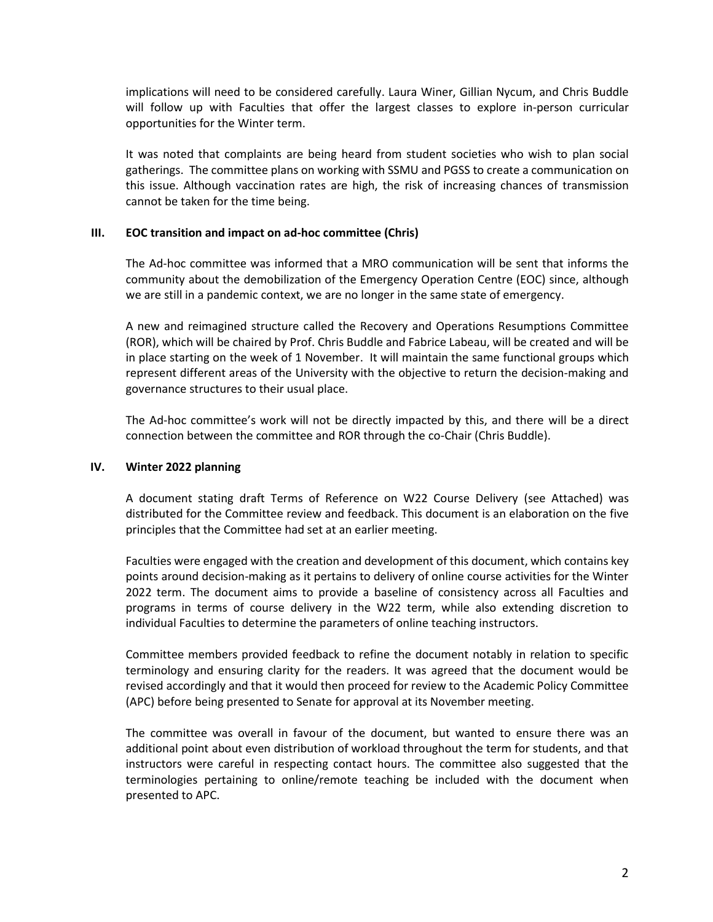implications will need to be considered carefully. Laura Winer, Gillian Nycum, and Chris Buddle will follow up with Faculties that offer the largest classes to explore in-person curricular opportunities for the Winter term.

It was noted that complaints are being heard from student societies who wish to plan social gatherings. The committee plans on working with SSMU and PGSS to create a communication on this issue. Although vaccination rates are high, the risk of increasing chances of transmission cannot be taken for the time being.

## **III. EOC transition and impact on ad-hoc committee (Chris)**

The Ad-hoc committee was informed that a MRO communication will be sent that informs the community about the demobilization of the Emergency Operation Centre (EOC) since, although we are still in a pandemic context, we are no longer in the same state of emergency.

A new and reimagined structure called the Recovery and Operations Resumptions Committee (ROR), which will be chaired by Prof. Chris Buddle and Fabrice Labeau, will be created and will be in place starting on the week of 1 November. It will maintain the same functional groups which represent different areas of the University with the objective to return the decision-making and governance structures to their usual place.

The Ad-hoc committee's work will not be directly impacted by this, and there will be a direct connection between the committee and ROR through the co-Chair (Chris Buddle).

## **IV. Winter 2022 planning**

A document stating draft Terms of Reference on W22 Course Delivery (see Attached) was distributed for the Committee review and feedback. This document is an elaboration on the five principles that the Committee had set at an earlier meeting.

Faculties were engaged with the creation and development of this document, which contains key points around decision-making as it pertains to delivery of online course activities for the Winter 2022 term. The document aims to provide a baseline of consistency across all Faculties and programs in terms of course delivery in the W22 term, while also extending discretion to individual Faculties to determine the parameters of online teaching instructors.

Committee members provided feedback to refine the document notably in relation to specific terminology and ensuring clarity for the readers. It was agreed that the document would be revised accordingly and that it would then proceed for review to the Academic Policy Committee (APC) before being presented to Senate for approval at its November meeting.

The committee was overall in favour of the document, but wanted to ensure there was an additional point about even distribution of workload throughout the term for students, and that instructors were careful in respecting contact hours. The committee also suggested that the terminologies pertaining to online/remote teaching be included with the document when presented to APC.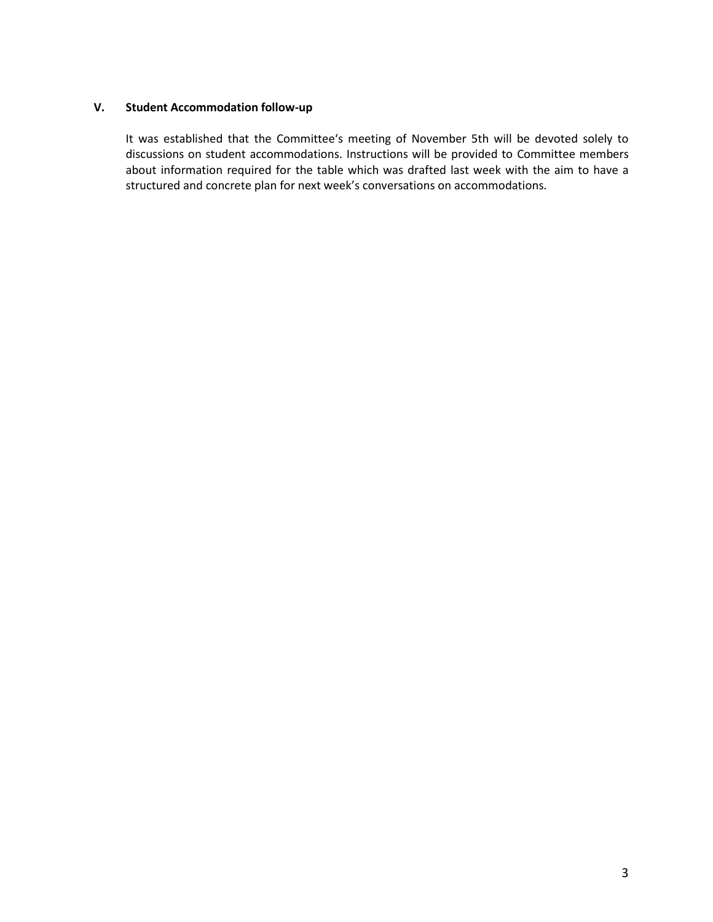## **V. Student Accommodation follow-up**

It was established that the Committee's meeting of November 5th will be devoted solely to discussions on student accommodations. Instructions will be provided to Committee members about information required for the table which was drafted last week with the aim to have a structured and concrete plan for next week's conversations on accommodations.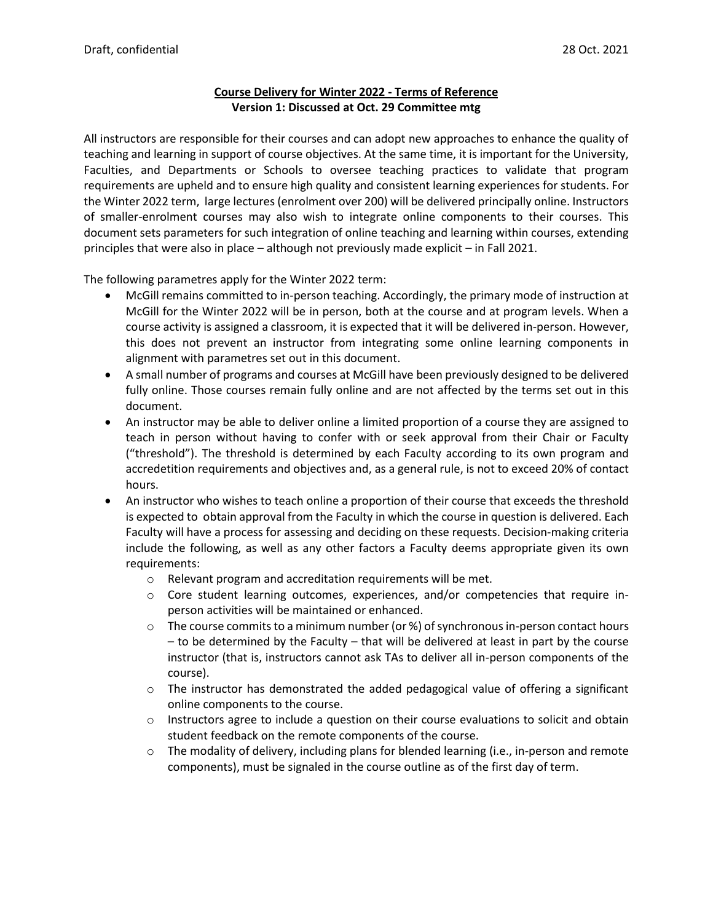## **Course Delivery for Winter 2022 - Terms of Reference Version 1: Discussed at Oct. 29 Committee mtg**

All instructors are responsible for their courses and can adopt new approaches to enhance the quality of teaching and learning in support of course objectives. At the same time, it is important for the University, Faculties, and Departments or Schools to oversee teaching practices to validate that program requirements are upheld and to ensure high quality and consistent learning experiences for students. For the Winter 2022 term, large lectures (enrolment over 200) will be delivered principally online. Instructors of smaller-enrolment courses may also wish to integrate online components to their courses. This document sets parameters for such integration of online teaching and learning within courses, extending principles that were also in place – although not previously made explicit – in Fall 2021.

The following parametres apply for the Winter 2022 term:

- McGill remains committed to in-person teaching. Accordingly, the primary mode of instruction at McGill for the Winter 2022 will be in person, both at the course and at program levels. When a course activity is assigned a classroom, it is expected that it will be delivered in-person. However, this does not prevent an instructor from integrating some online learning components in alignment with parametres set out in this document.
- A small number of programs and courses at McGill have been previously designed to be delivered fully online. Those courses remain fully online and are not affected by the terms set out in this document.
- An instructor may be able to deliver online a limited proportion of a course they are assigned to teach in person without having to confer with or seek approval from their Chair or Faculty ("threshold"). The threshold is determined by each Faculty according to its own program and accredetition requirements and objectives and, as a general rule, is not to exceed 20% of contact hours.
- An instructor who wishes to teach online a proportion of their course that exceeds the threshold is expected to obtain approval from the Faculty in which the course in question is delivered. Each Faculty will have a process for assessing and deciding on these requests. Decision-making criteria include the following, as well as any other factors a Faculty deems appropriate given its own requirements:
	- o Relevant program and accreditation requirements will be met.
	- $\circ$  Core student learning outcomes, experiences, and/or competencies that require inperson activities will be maintained or enhanced.
	- $\circ$  The course commits to a minimum number (or %) of synchronous in-person contact hours – to be determined by the Faculty – that will be delivered at least in part by the course instructor (that is, instructors cannot ask TAs to deliver all in-person components of the course).
	- $\circ$  The instructor has demonstrated the added pedagogical value of offering a significant online components to the course.
	- $\circ$  Instructors agree to include a question on their course evaluations to solicit and obtain student feedback on the remote components of the course.
	- $\circ$  The modality of delivery, including plans for blended learning (i.e., in-person and remote components), must be signaled in the course outline as of the first day of term.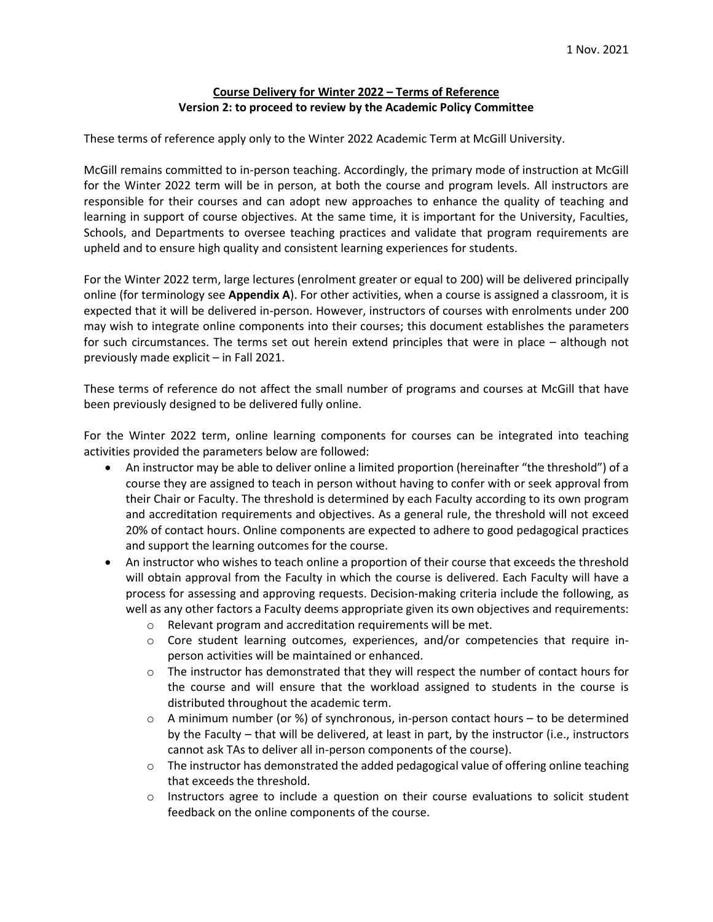## **Course Delivery for Winter 2022 – Terms of Reference Version 2: to proceed to review by the Academic Policy Committee**

These terms of reference apply only to the Winter 2022 Academic Term at McGill University.

McGill remains committed to in-person teaching. Accordingly, the primary mode of instruction at McGill for the Winter 2022 term will be in person, at both the course and program levels. All instructors are responsible for their courses and can adopt new approaches to enhance the quality of teaching and learning in support of course objectives. At the same time, it is important for the University, Faculties, Schools, and Departments to oversee teaching practices and validate that program requirements are upheld and to ensure high quality and consistent learning experiences for students.

For the Winter 2022 term, large lectures (enrolment greater or equal to 200) will be delivered principally online (for terminology see **Appendix A**). For other activities, when a course is assigned a classroom, it is expected that it will be delivered in-person. However, instructors of courses with enrolments under 200 may wish to integrate online components into their courses; this document establishes the parameters for such circumstances. The terms set out herein extend principles that were in place – although not previously made explicit – in Fall 2021.

These terms of reference do not affect the small number of programs and courses at McGill that have been previously designed to be delivered fully online.

For the Winter 2022 term, online learning components for courses can be integrated into teaching activities provided the parameters below are followed:

- An instructor may be able to deliver online a limited proportion (hereinafter "the threshold") of a course they are assigned to teach in person without having to confer with or seek approval from their Chair or Faculty. The threshold is determined by each Faculty according to its own program and accreditation requirements and objectives. As a general rule, the threshold will not exceed 20% of contact hours. Online components are expected to adhere to good pedagogical practices and support the learning outcomes for the course.
- An instructor who wishes to teach online a proportion of their course that exceeds the threshold will obtain approval from the Faculty in which the course is delivered. Each Faculty will have a process for assessing and approving requests. Decision-making criteria include the following, as well as any other factors a Faculty deems appropriate given its own objectives and requirements:
	- o Relevant program and accreditation requirements will be met.
	- $\circ$  Core student learning outcomes, experiences, and/or competencies that require inperson activities will be maintained or enhanced.
	- $\circ$  The instructor has demonstrated that they will respect the number of contact hours for the course and will ensure that the workload assigned to students in the course is distributed throughout the academic term.
	- $\circ$  A minimum number (or %) of synchronous, in-person contact hours to be determined by the Faculty – that will be delivered, at least in part, by the instructor (i.e., instructors cannot ask TAs to deliver all in-person components of the course).
	- $\circ$  The instructor has demonstrated the added pedagogical value of offering online teaching that exceeds the threshold.
	- $\circ$  Instructors agree to include a question on their course evaluations to solicit student feedback on the online components of the course.